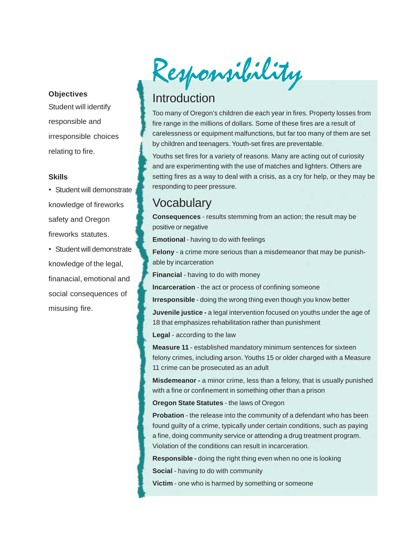#### **Objectives**

Student will identify responsible and irresponsible choices relating to fire.

#### **Skills**

- Student will demonstrate knowledge of fireworks safety and Oregon fireworks statutes.
- Student will demonstrate knowledge of the legal, finanacial, emotional and social consequences of misusing fire.

Responsibility

# Introduction

Too many of Oregon's children die each year in fires. Property losses from fire range in the millions of dollars. Some of these fires are a result of carelessness or equipment malfunctions, but far too many of them are set by children and teenagers. Youth-set fires are preventable.

Youths set fires for a variety of reasons. Many are acting out of curiosity and are experimenting with the use of matches and lighters. Others are setting fires as a way to deal with a crisis, as a cry for help, or they may be responding to peer pressure.

# **Vocabulary**

**Consequences** - results stemming from an action; the result may be positive or negative

**Emotional** - having to do with feelings

**Felony** - a crime more serious than a misdemeanor that may be punishable by incarceration

**Financial** - having to do with money

**Incarceration** - the act or process of confining someone

**Irresponsible** - doing the wrong thing even though you know better

**Juvenile justice -** a legal intervention focused on youths under the age of 18 that emphasizes rehabilitation rather than punishment

**Legal** - according to the law

**Measure 11** - established mandatory minimum sentences for sixteen felony crimes, including arson. Youths 15 or older charged with a Measure 11 crime can be prosecuted as an adult

**Misdemeanor -** a minor crime, less than a felony, that is usually punished with a fine or confinement in something other than a prison

**Oregon State Statutes** - the laws of Oregon

**Probation** - the release into the community of a defendant who has been found guilty of a crime, typically under certain conditions, such as paying a fine, doing community service or attending a drug treatment program. Violation of the conditions can result in incarceration.

**Responsible -** doing the right thing even when no one is looking

**Social** - having to do with community

**Victim** - one who is harmed by something or someone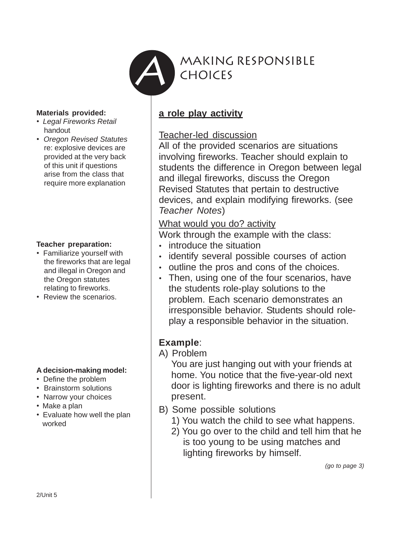

#### **Materials provided:**

- *Legal Fireworks Retail* handout
- *Oregon Revised Statutes* re: explosive devices are provided at the very back of this unit if questions arise from the class that require more explanation

### **Teacher preparation:**

- Familiarize yourself with the fireworks that are legal and illegal in Oregon and the Oregon statutes relating to fireworks.
- Review the scenarios.

### **A decision-making model:**

- Define the problem
- Brainstorm solutions
- Narrow your choices
- Make a plan
- Evaluate how well the plan worked

## **a role play activity**

## Teacher-led discussion

All of the provided scenarios are situations involving fireworks. Teacher should explain to students the difference in Oregon between legal and illegal fireworks, discuss the Oregon Revised Statutes that pertain to destructive devices, and explain modifying fireworks. (see *Teacher Notes*)

## What would you do? activity

Work through the example with the class:

- introduce the situation
- identify several possible courses of action
- outline the pros and cons of the choices.
- Then, using one of the four scenarios, have the students role-play solutions to the problem. Each scenario demonstrates an irresponsible behavior. Students should roleplay a responsible behavior in the situation.

## **Example**:

A) Problem

You are just hanging out with your friends at home. You notice that the five-year-old next door is lighting fireworks and there is no adult present.

- B) Some possible solutions
	- 1) You watch the child to see what happens.
	- 2) You go over to the child and tell him that he is too young to be using matches and lighting fireworks by himself.

*(go to page 3)*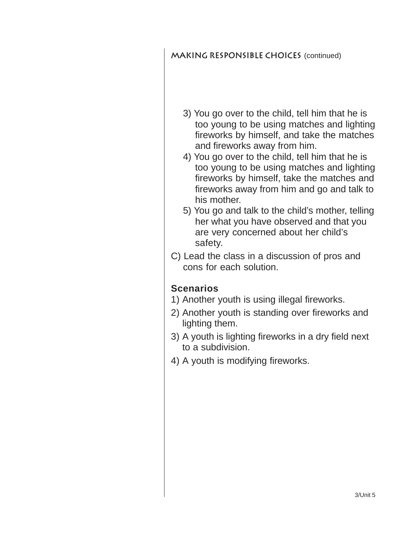## **Making responsible choices** (continued)

- 3) You go over to the child, tell him that he is too young to be using matches and lighting fireworks by himself, and take the matches and fireworks away from him.
- 4) You go over to the child, tell him that he is too young to be using matches and lighting fireworks by himself, take the matches and fireworks away from him and go and talk to his mother.
- 5) You go and talk to the child's mother, telling her what you have observed and that you are very concerned about her child's safety.
- C) Lead the class in a discussion of pros and cons for each solution.

## **Scenarios**

- 1) Another youth is using illegal fireworks.
- 2) Another youth is standing over fireworks and lighting them.
- 3) A youth is lighting fireworks in a dry field next to a subdivision.
- 4) A youth is modifying fireworks.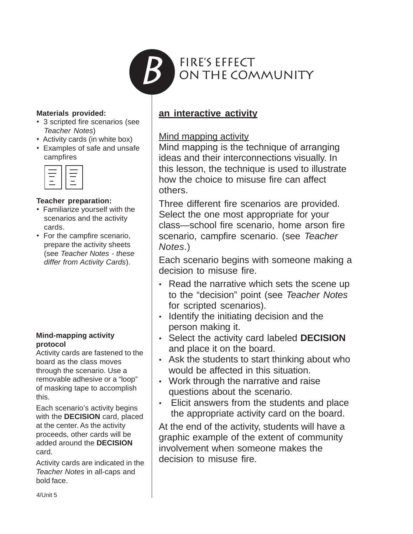

#### **Materials provided:**

- 3 scripted fire scenarios (see *Teacher Notes*)
- Activity cards (in white box)
- Examples of safe and unsafe campfires

|    | ___    |
|----|--------|
|    | ______ |
| __ | __     |
|    |        |
|    | ____   |
|    |        |

#### **Teacher preparation:**

- Familiarize yourself with the scenarios and the activity cards.
- For the campfire scenario, prepare the activity sheets (see *Teacher Notes - these differ from Activity Cards*).

#### **Mind-mapping activity protocol**

Activity cards are fastened to the board as the class moves through the scenario. Use a removable adhesive or a "loop" of masking tape to accomplish this.

Each scenario's activity begins with the **DECISION** card, placed at the center. As the activity proceeds, other cards will be added around the **DECISION** card.

Activity cards are indicated in the *Teacher Notes* in all-caps and bold face.

## **an interactive activity**

## Mind mapping activity

Mind mapping is the technique of arranging ideas and their interconnections visually. In this lesson, the technique is used to illustrate how the choice to misuse fire can affect others.

Three different fire scenarios are provided. Select the one most appropriate for your class—school fire scenario, home arson fire scenario, campfire scenario. (see *Teacher Notes*.)

Each scenario begins with someone making a decision to misuse fire.

- Read the narrative which sets the scene up to the "decision" point (see *Teacher Notes* for scripted scenarios).
- Identify the initiating decision and the person making it.
- Select the activity card labeled **DECISION** and place it on the board.
- Ask the students to start thinking about who would be affected in this situation.
- Work through the narrative and raise questions about the scenario.
- Elicit answers from the students and place the appropriate activity card on the board.

At the end of the activity, students will have a graphic example of the extent of community involvement when someone makes the decision to misuse fire.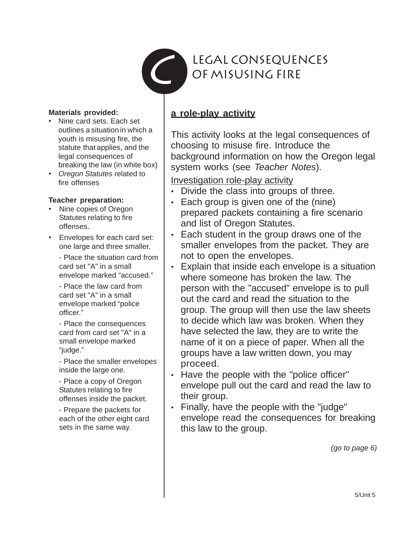

## **Materials provided:**

- Nine card sets. Each set outlines a situation in which a youth is misusing fire, the statute that applies, and the legal consequences of breaking the law (in white box)
- *Oregon Statutes* related to fire offenses

## **Teacher preparation:**

- Nine copies of Oregon Statutes relating to fire offenses.
- Envelopes for each card set: one large and three smaller.

- Place the situation card from card set "A" in a small envelope marked "accused."

- Place the law card from card set "A" in a small envelope marked "police officer."

- Place the consequences card from card set "A" in a small envelope marked "judge."

- Place the smaller envelopes inside the large one.

- Place a copy of Oregon Statutes relating to fire offenses inside the packet.

- Prepare the packets for each of the other eight card sets in the same way.

## **a role-play activity**

This activity looks at the legal consequences of choosing to misuse fire. Introduce the background information on how the Oregon legal system works (see *Teacher Notes*).

Investigation role-play activity

- Divide the class into groups of three.
- Each group is given one of the (nine) prepared packets containing a fire scenario and list of Oregon Statutes.
- Each student in the group draws one of the smaller envelopes from the packet. They are not to open the envelopes.
- Explain that inside each envelope is a situation where someone has broken the law. The person with the "accused" envelope is to pull out the card and read the situation to the group. The group will then use the law sheets to decide which law was broken. When they have selected the law, they are to write the name of it on a piece of paper. When all the groups have a law written down, you may proceed.
- Have the people with the "police officer" envelope pull out the card and read the law to their group.
- Finally, have the people with the "judge" envelope read the consequences for breaking this law to the group.

*(go to page 6)*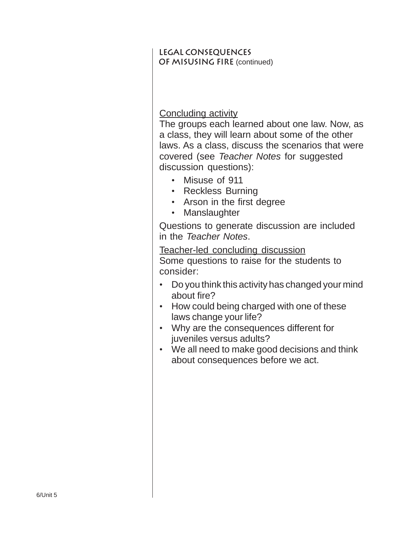## **Legal consequences of misusing fire** (continued)

## Concluding activity

The groups each learned about one law. Now, as a class, they will learn about some of the other laws. As a class, discuss the scenarios that were covered (see *Teacher Notes* for suggested discussion questions):

- Misuse of 911
- Reckless Burning
- Arson in the first degree
- Manslaughter

Questions to generate discussion are included in the *Teacher Notes*.

Teacher-led concluding discussion Some questions to raise for the students to consider:

- Do you think this activity has changed your mind about fire?
- How could being charged with one of these laws change your life?
- Why are the consequences different for juveniles versus adults?
- We all need to make good decisions and think about consequences before we act.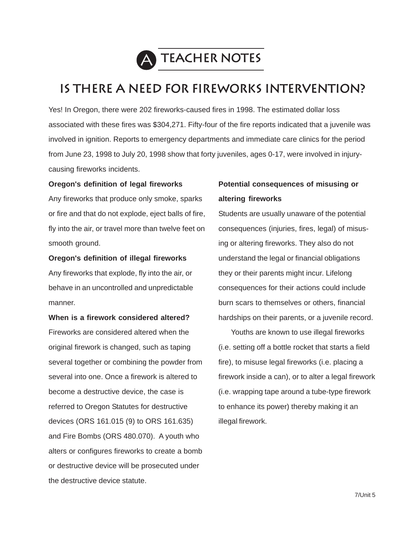

# **Is there a need for fireworks intervention?**

Yes! In Oregon, there were 202 fireworks-caused fires in 1998. The estimated dollar loss associated with these fires was \$304,271. Fifty-four of the fire reports indicated that a juvenile was involved in ignition. Reports to emergency departments and immediate care clinics for the period from June 23, 1998 to July 20, 1998 show that forty juveniles, ages 0-17, were involved in injurycausing fireworks incidents.

#### **Oregon's definition of legal fireworks**

Any fireworks that produce only smoke, sparks or fire and that do not explode, eject balls of fire, fly into the air, or travel more than twelve feet on smooth ground.

#### **Oregon's definition of illegal fireworks**

Any fireworks that explode, fly into the air, or behave in an uncontrolled and unpredictable manner.

**When is a firework considered altered?** Fireworks are considered altered when the original firework is changed, such as taping several together or combining the powder from several into one. Once a firework is altered to become a destructive device, the case is referred to Oregon Statutes for destructive devices (ORS 161.015 (9) to ORS 161.635) and Fire Bombs (ORS 480.070). A youth who alters or configures fireworks to create a bomb or destructive device will be prosecuted under the destructive device statute.

## **Potential consequences of misusing or altering fireworks**

Students are usually unaware of the potential consequences (injuries, fires, legal) of misusing or altering fireworks. They also do not understand the legal or financial obligations they or their parents might incur. Lifelong consequences for their actions could include burn scars to themselves or others, financial hardships on their parents, or a juvenile record.

Youths are known to use illegal fireworks (i.e. setting off a bottle rocket that starts a field fire), to misuse legal fireworks (i.e. placing a firework inside a can), or to alter a legal firework (i.e. wrapping tape around a tube-type firework to enhance its power) thereby making it an illegal firework.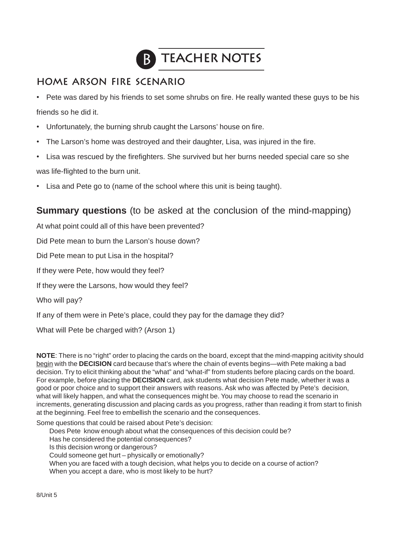

## **home Arson Fire Scenario**

• Pete was dared by his friends to set some shrubs on fire. He really wanted these guys to be his friends so he did it.

- Unfortunately, the burning shrub caught the Larsons' house on fire.
- The Larson's home was destroyed and their daughter, Lisa, was injured in the fire.
- Lisa was rescued by the firefighters. She survived but her burns needed special care so she was life-flighted to the burn unit.
- Lisa and Pete go to (name of the school where this unit is being taught).

## **Summary questions** (to be asked at the conclusion of the mind-mapping)

At what point could all of this have been prevented?

Did Pete mean to burn the Larson's house down?

Did Pete mean to put Lisa in the hospital?

If they were Pete, how would they feel?

If they were the Larsons, how would they feel?

Who will pay?

If any of them were in Pete's place, could they pay for the damage they did?

What will Pete be charged with? (Arson 1)

**NOTE**: There is no "right" order to placing the cards on the board, except that the mind-mapping acitivity should begin with the **DECISION** card because that's where the chain of events begins—with Pete making a bad decision. Try to elicit thinking about the "what" and "what-if" from students before placing cards on the board. For example, before placing the **DECISION** card, ask students what decision Pete made, whether it was a good or poor choice and to support their answers with reasons. Ask who was affected by Pete's decision, what will likely happen, and what the consequences might be. You may choose to read the scenario in increments, generating discussion and placing cards as you progress, rather than reading it from start to finish at the beginning. Feel free to embellish the scenario and the consequences.

Some questions that could be raised about Pete's decision:

Does Pete know enough about what the consequences of this decision could be?

- Has he considered the potential consequences?
- Is this decision wrong or dangerous?
- Could someone get hurt physically or emotionally?
- When you are faced with a tough decision, what helps you to decide on a course of action?
- When you accept a dare, who is most likely to be hurt?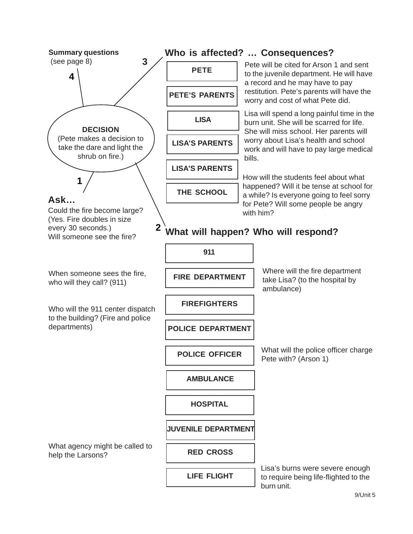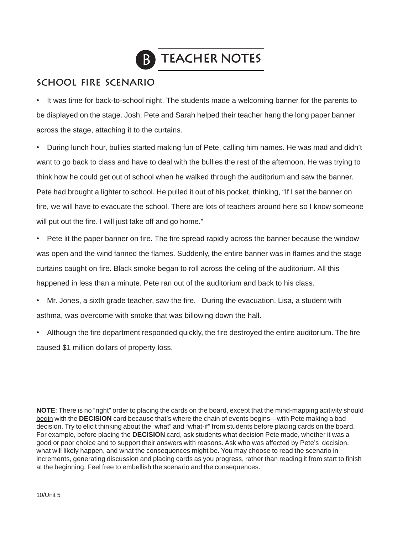

# B **Teacher Notes**

## **School fire scenario**

• It was time for back-to-school night. The students made a welcoming banner for the parents to be displayed on the stage. Josh, Pete and Sarah helped their teacher hang the long paper banner across the stage, attaching it to the curtains.

• During lunch hour, bullies started making fun of Pete, calling him names. He was mad and didn't want to go back to class and have to deal with the bullies the rest of the afternoon. He was trying to think how he could get out of school when he walked through the auditorium and saw the banner. Pete had brought a lighter to school. He pulled it out of his pocket, thinking, "If I set the banner on fire, we will have to evacuate the school. There are lots of teachers around here so I know someone will put out the fire. I will just take off and go home."

• Pete lit the paper banner on fire. The fire spread rapidly across the banner because the window was open and the wind fanned the flames. Suddenly, the entire banner was in flames and the stage curtains caught on fire. Black smoke began to roll across the celing of the auditorium. All this happened in less than a minute. Pete ran out of the auditorium and back to his class.

- Mr. Jones, a sixth grade teacher, saw the fire. During the evacuation, Lisa, a student with asthma, was overcome with smoke that was billowing down the hall.
- Although the fire department responded quickly, the fire destroyed the entire auditorium. The fire caused \$1 million dollars of property loss.

**NOTE**: There is no "right" order to placing the cards on the board, except that the mind-mapping acitivity should begin with the **DECISION** card because that's where the chain of events begins—with Pete making a bad decision. Try to elicit thinking about the "what" and "what-if" from students before placing cards on the board. For example, before placing the **DECISION** card, ask students what decision Pete made, whether it was a good or poor choice and to support their answers with reasons. Ask who was affected by Pete's decision, what will likely happen, and what the consequences might be. You may choose to read the scenario in increments, generating discussion and placing cards as you progress, rather than reading it from start to finish at the beginning. Feel free to embellish the scenario and the consequences.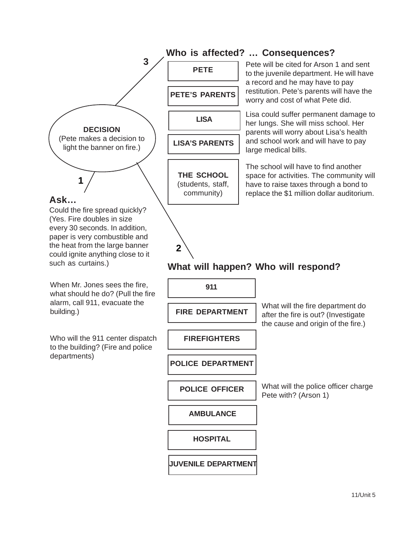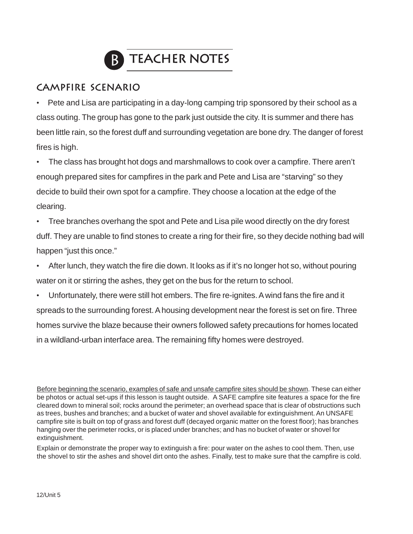

## **Campfire Scenario**

• Pete and Lisa are participating in a day-long camping trip sponsored by their school as a class outing. The group has gone to the park just outside the city. It is summer and there has been little rain, so the forest duff and surrounding vegetation are bone dry. The danger of forest fires is high.

• The class has brought hot dogs and marshmallows to cook over a campfire. There aren't enough prepared sites for campfires in the park and Pete and Lisa are "starving" so they decide to build their own spot for a campfire. They choose a location at the edge of the clearing.

• Tree branches overhang the spot and Pete and Lisa pile wood directly on the dry forest duff. They are unable to find stones to create a ring for their fire, so they decide nothing bad will happen "just this once."

- After lunch, they watch the fire die down. It looks as if it's no longer hot so, without pouring water on it or stirring the ashes, they get on the bus for the return to school.
- Unfortunately, there were still hot embers. The fire re-ignites. A wind fans the fire and it spreads to the surrounding forest. A housing development near the forest is set on fire. Three homes survive the blaze because their owners followed safety precautions for homes located in a wildland-urban interface area. The remaining fifty homes were destroyed.

Before beginning the scenario, examples of safe and unsafe campfire sites should be shown. These can either be photos or actual set-ups if this lesson is taught outside. A SAFE campfire site features a space for the fire cleared down to mineral soil; rocks around the perimeter; an overhead space that is clear of obstructions such as trees, bushes and branches; and a bucket of water and shovel available for extinguishment. An UNSAFE campfire site is built on top of grass and forest duff (decayed organic matter on the forest floor); has branches hanging over the perimeter rocks, or is placed under branches; and has no bucket of water or shovel for extinguishment.

Explain or demonstrate the proper way to extinguish a fire: pour water on the ashes to cool them. Then, use the shovel to stir the ashes and shovel dirt onto the ashes. Finally, test to make sure that the campfire is cold.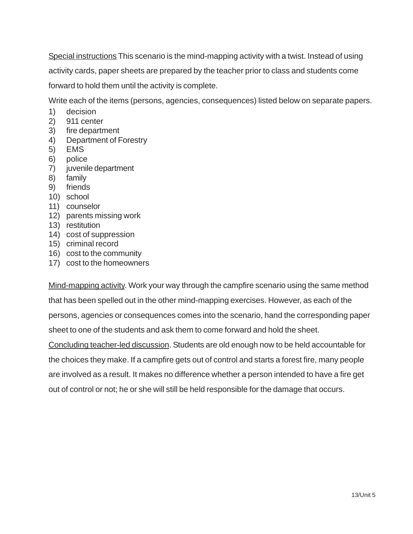Special instructions This scenario is the mind-mapping activity with a twist. Instead of using activity cards, paper sheets are prepared by the teacher prior to class and students come forward to hold them until the activity is complete.

Write each of the items (persons, agencies, consequences) listed below on separate papers.

- 1) decision
- 2) 911 center
- 3) fire department
- 4) Department of Forestry
- 5) EMS
- 6) police
- 7) juvenile department
- 8) family
- 9) friends
- 10) school
- 11) counselor
- 12) parents missing work
- 13) restitution
- 14) cost of suppression
- 15) criminal record
- 16) cost to the community
- 17) cost to the homeowners

Mind-mapping activity. Work your way through the campfire scenario using the same method that has been spelled out in the other mind-mapping exercises. However, as each of the persons, agencies or consequences comes into the scenario, hand the corresponding paper sheet to one of the students and ask them to come forward and hold the sheet. Concluding teacher-led discussion. Students are old enough now to be held accountable for the choices they make. If a campfire gets out of control and starts a forest fire, many people are involved as a result. It makes no difference whether a person intended to have a fire get out of control or not; he or she will still be held responsible for the damage that occurs.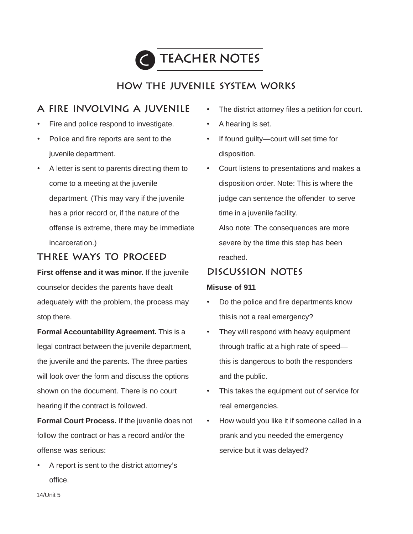

## **how the juvenile system works**

## **A fire involving a juvenile**

- Fire and police respond to investigate.
- Police and fire reports are sent to the juvenile department.
- A letter is sent to parents directing them to come to a meeting at the juvenile department. (This may vary if the juvenile has a prior record or, if the nature of the offense is extreme, there may be immediate incarceration.)

## **Three ways to proceed**

**First offense and it was minor.** If the juvenile counselor decides the parents have dealt adequately with the problem, the process may stop there.

**Formal Accountability Agreement.** This is a legal contract between the juvenile department, the juvenile and the parents. The three parties will look over the form and discuss the options shown on the document. There is no court hearing if the contract is followed.

**Formal Court Process.** If the juvenile does not follow the contract or has a record and/or the offense was serious:

• A report is sent to the district attorney's office.

- The district attorney files a petition for court.
- A hearing is set.
- If found guilty—court will set time for disposition.
- Court listens to presentations and makes a disposition order. Note: This is where the judge can sentence the offender to serve time in a juvenile facility. Also note: The consequences are more severe by the time this step has been reached.

## **Discussion notes**

### **Misuse of 911**

- Do the police and fire departments know thisis not a real emergency?
- They will respond with heavy equipment through traffic at a high rate of speed this is dangerous to both the responders and the public.
- This takes the equipment out of service for real emergencies.
- How would you like it if someone called in a prank and you needed the emergency service but it was delayed?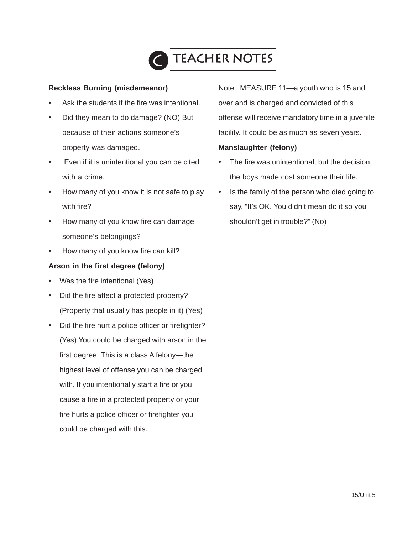

#### **Reckless Burning (misdemeanor)**

- Ask the students if the fire was intentional.
- Did they mean to do damage? (NO) But because of their actions someone's property was damaged.
- Even if it is unintentional you can be cited with a crime.
- How many of you know it is not safe to play with fire?
- How many of you know fire can damage someone's belongings?
- How many of you know fire can kill?

#### **Arson in the first degree (felony)**

- Was the fire intentional (Yes)
- Did the fire affect a protected property? (Property that usually has people in it) (Yes)
- Did the fire hurt a police officer or firefighter? (Yes) You could be charged with arson in the first degree. This is a class A felony—the highest level of offense you can be charged with. If you intentionally start a fire or you cause a fire in a protected property or your fire hurts a police officer or firefighter you could be charged with this.

Note : MEASURE 11—a youth who is 15 and over and is charged and convicted of this offense will receive mandatory time in a juvenile facility. It could be as much as seven years.

#### **Manslaughter (felony)**

- The fire was unintentional, but the decision the boys made cost someone their life.
- Is the family of the person who died going to say, "It's OK. You didn't mean do it so you shouldn't get in trouble?" (No)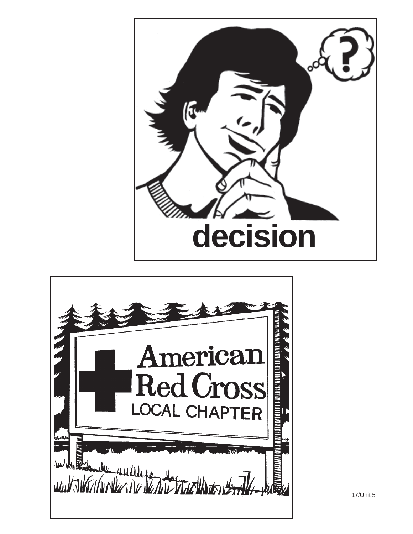

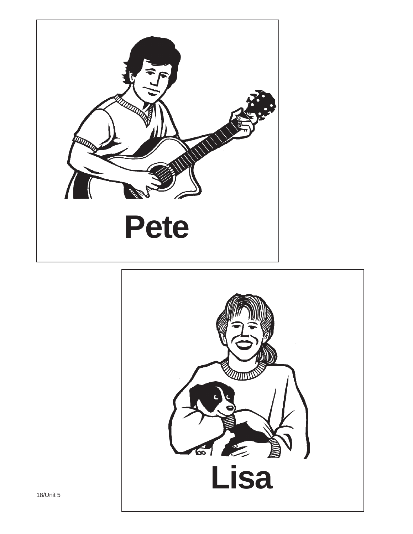

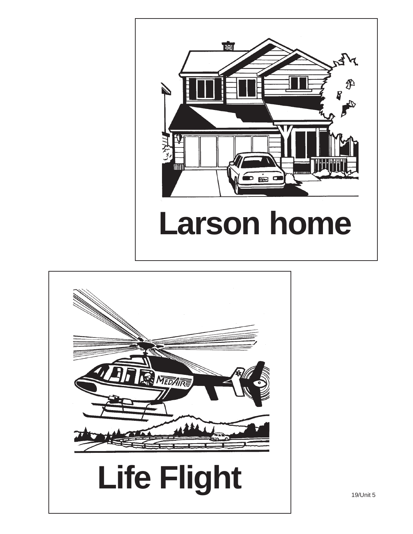

# **Larson home**



19/Unit 5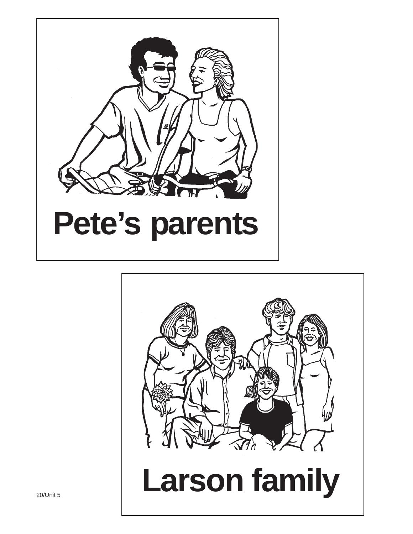

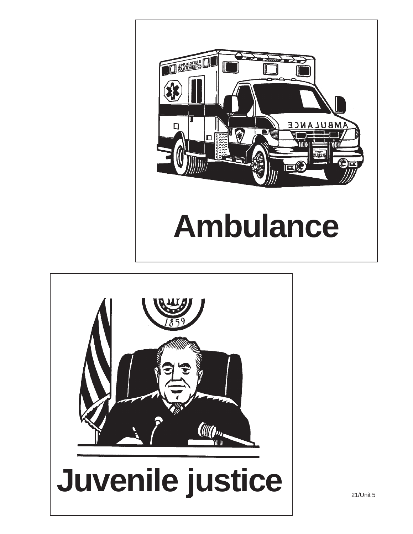

# **Ambulance**

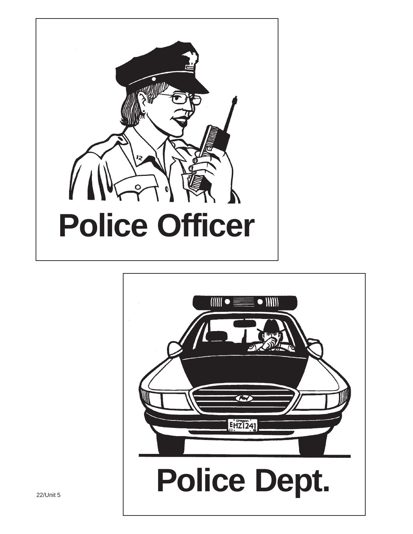

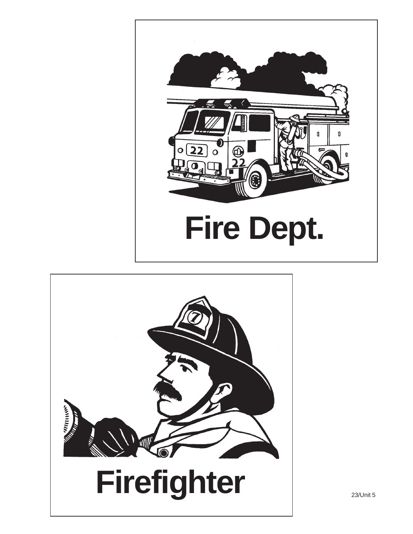



23/Unit 5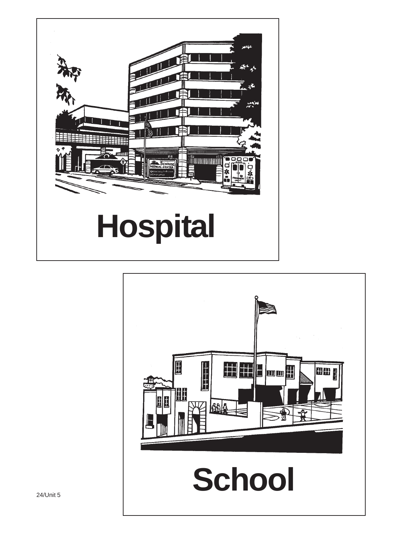

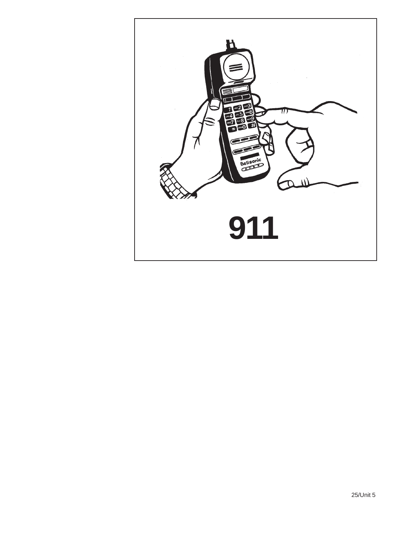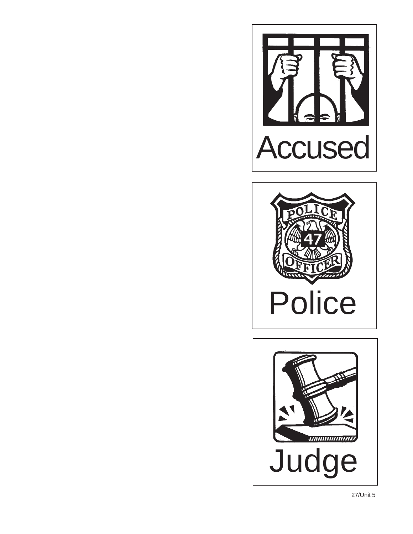



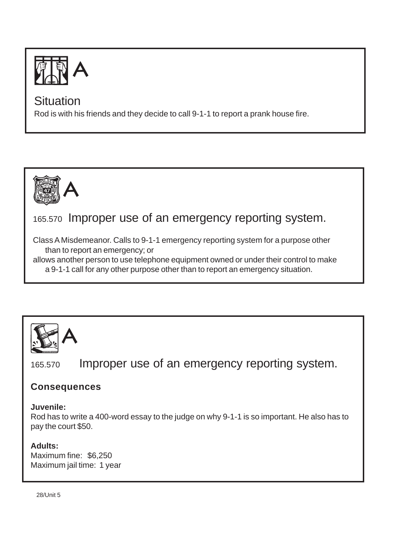

Rod is with his friends and they decide to call 9-1-1 to report a prank house fire.



# 165.570 Improper use of an emergency reporting system.

Class A Misdemeanor. Calls to 9-1-1 emergency reporting system for a purpose other than to report an emergency; or

allows another person to use telephone equipment owned or under their control to make a 9-1-1 call for any other purpose other than to report an emergency situation.



165.570 Improper use of an emergency reporting system.

## **Consequences**

### **Juvenile:**

Rod has to write a 400-word essay to the judge on why 9-1-1 is so important. He also has to pay the court \$50.

## **Adults:**

Maximum fine: \$6,250 Maximum jail time: 1 year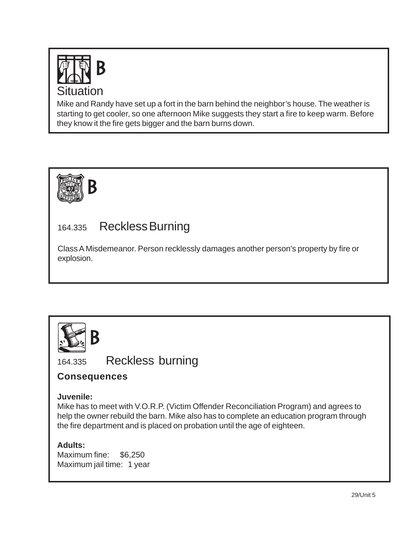

Mike and Randy have set up a fort in the barn behind the neighbor's house. The weather is starting to get cooler, so one afternoon Mike suggests they start a fire to keep warm. Before they know it the fire gets bigger and the barn burns down.



# 164.335 Reckless Burning

Class A Misdemeanor. Person recklessly damages another person's property by fire or explosion.



164.335 Reckless burning

## **Consequences**

## **Juvenile:**

Mike has to meet with V.O.R.P. (Victim Offender Reconciliation Program) and agrees to help the owner rebuild the barn. Mike also has to complete an education program through the fire department and is placed on probation until the age of eighteen.

## **Adults:**

Maximum fine: \$6,250 Maximum jail time: 1 year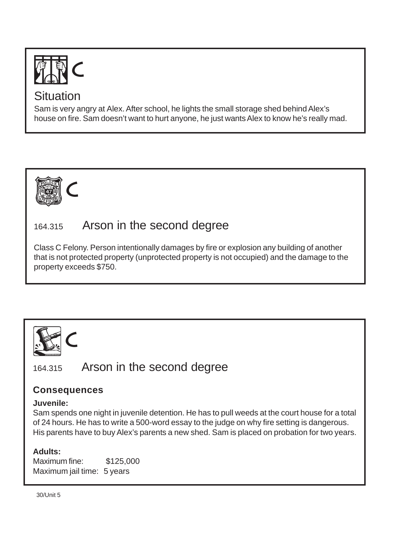

Sam is very angry at Alex. After school, he lights the small storage shed behind Alex's house on fire. Sam doesn't want to hurt anyone, he just wants Alex to know he's really mad.



# 164.315 Arson in the second degree

Class C Felony. Person intentionally damages by fire or explosion any building of another that is not protected property (unprotected property is not occupied) and the damage to the property exceeds \$750.



164.315 Arson in the second degree

## **Consequences**

## **Juvenile:**

Sam spends one night in juvenile detention. He has to pull weeds at the court house for a total of 24 hours. He has to write a 500-word essay to the judge on why fire setting is dangerous. His parents have to buy Alex's parents a new shed. Sam is placed on probation for two years.

## **Adults:**

Maximum fine: \$125,000 Maximum jail time: 5 years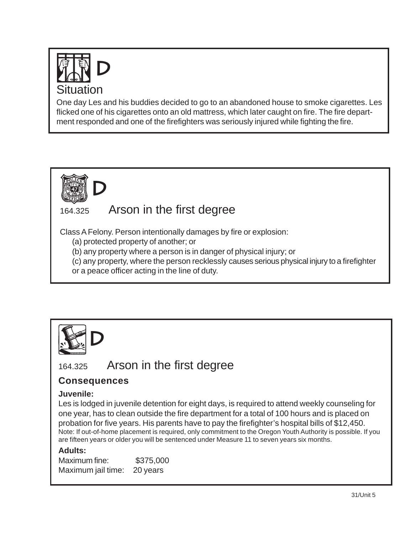

One day Les and his buddies decided to go to an abandoned house to smoke cigarettes. Les flicked one of his cigarettes onto an old mattress, which later caught on fire. The fire department responded and one of the firefighters was seriously injured while fighting the fire.



# 164.325 Arson in the first degree

Class A Felony. Person intentionally damages by fire or explosion:

(a) protected property of another; or

(b) any property where a person is in danger of physical injury; or

(c) any property, where the person recklessly causes serious physical injury to a firefighter or a peace officer acting in the line of duty.



# 164.325 Arson in the first degree

## **Consequences**

### **Juvenile:**

Les is lodged in juvenile detention for eight days, is required to attend weekly counseling for one year, has to clean outside the fire department for a total of 100 hours and is placed on probation for five years. His parents have to pay the firefighter's hospital bills of \$12,450. Note: If out-of-home placement is required, only commitment to the Oregon Youth Authority is possible. If you are fifteen years or older you will be sentenced under Measure 11 to seven years six months.

## **Adults:**

Maximum fine: \$375,000 Maximum jail time: 20 years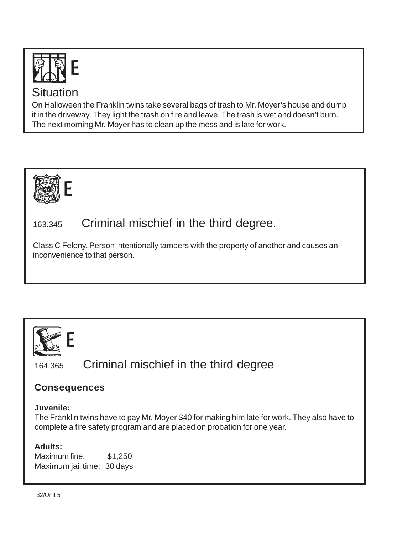

On Halloween the Franklin twins take several bags of trash to Mr. Moyer's house and dump it in the driveway. They light the trash on fire and leave. The trash is wet and doesn't burn. The next morning Mr. Moyer has to clean up the mess and is late for work.



# 163.345 Criminal mischief in the third degree.

Class C Felony. Person intentionally tampers with the property of another and causes an inconvenience to that person.



164.365 Criminal mischief in the third degree

## **Consequences**

## **Juvenile:**

The Franklin twins have to pay Mr. Moyer \$40 for making him late for work. They also have to complete a fire safety program and are placed on probation for one year.

## **Adults:**

Maximum fine: \$1,250 Maximum jail time: 30 days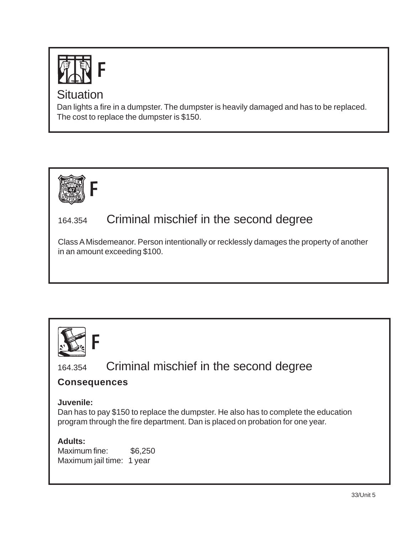

Dan lights a fire in a dumpster. The dumpster is heavily damaged and has to be replaced. The cost to replace the dumpster is \$150.



# 164.354 Criminal mischief in the second degree

Class A Misdemeanor. Person intentionally or recklessly damages the property of another in an amount exceeding \$100.



164.354 Criminal mischief in the second degree

## **Consequences**

## **Juvenile:**

Dan has to pay \$150 to replace the dumpster. He also has to complete the education program through the fire department. Dan is placed on probation for one year.

**Adults:**

Maximum fine: \$6,250 Maximum jail time: 1 year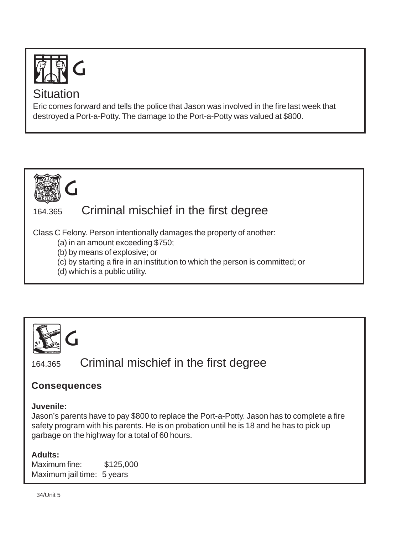

Eric comes forward and tells the police that Jason was involved in the fire last week that destroyed a Port-a-Potty. The damage to the Port-a-Potty was valued at \$800.



# 164.365 Criminal mischief in the first degree

Class C Felony. Person intentionally damages the property of another:

- (a) in an amount exceeding \$750;
- (b) by means of explosive; or
- (c) by starting a fire in an institution to which the person is committed; or
- (d) which is a public utility.



164.365 Criminal mischief in the first degree

## **Consequences**

## **Juvenile:**

Jason's parents have to pay \$800 to replace the Port-a-Potty. Jason has to complete a fire safety program with his parents. He is on probation until he is 18 and he has to pick up garbage on the highway for a total of 60 hours.

## **Adults:**

Maximum fine: \$125,000 Maximum jail time: 5 years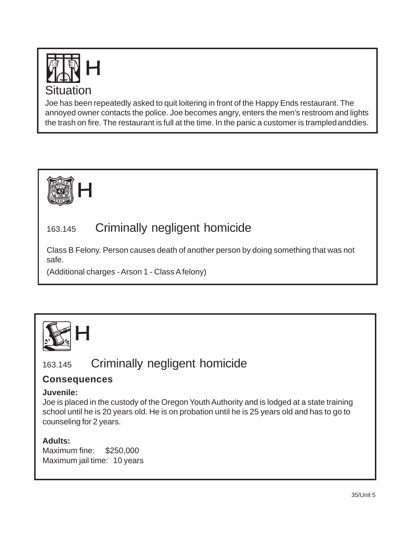

Joe has been repeatedly asked to quit loitering in front of the Happy Ends restaurant. The annoyed owner contacts the police. Joe becomes angry, enters the men's restroom and lights the trash on fire. The restaurant is full at the time. In the panic a customer is trampled and dies.



# 163.145 Criminally negligent homicide

Class B Felony. Person causes death of another person by doing something that was not safe.

(Additional charges - Arson 1 - Class A felony)



# 163.145 Criminally negligent homicide

## **Consequences**

### **Juvenile:**

Joe is placed in the custody of the Oregon Youth Authority and is lodged at a state training school until he is 20 years old. He is on probation until he is 25 years old and has to go to counseling for 2 years.

## **Adults:**

Maximum fine: \$250,000 Maximum jail time: 10 years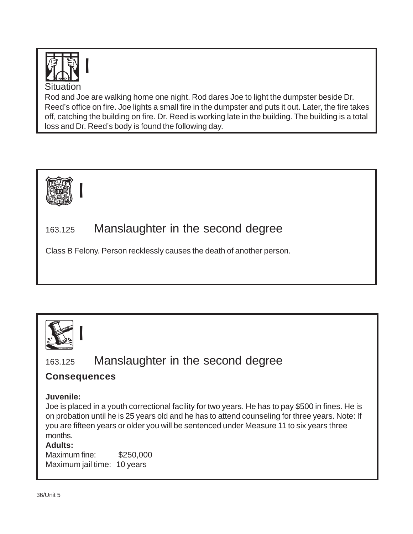

Rod and Joe are walking home one night. Rod dares Joe to light the dumpster beside Dr. Reed's office on fire. Joe lights a small fire in the dumpster and puts it out. Later, the fire takes off, catching the building on fire. Dr. Reed is working late in the building. The building is a total loss and Dr. Reed's body is found the following day.



# 163.125 Manslaughter in the second degree

Class B Felony. Person recklessly causes the death of another person.



163.125 Manslaughter in the second degree

## **Consequences**

### **Juvenile:**

Joe is placed in a youth correctional facility for two years. He has to pay \$500 in fines. He is on probation until he is 25 years old and he has to attend counseling for three years. Note: If you are fifteen years or older you will be sentenced under Measure 11 to six years three months.

### **Adults:**

Maximum fine: \$250,000 Maximum jail time: 10 years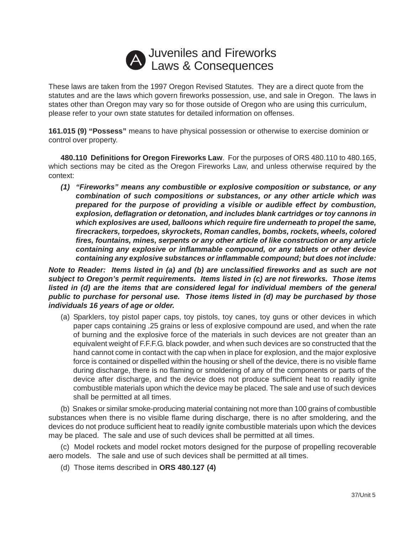## Juveniles and Fireworks A Juvennes and Fileworks

These laws are taken from the 1997 Oregon Revised Statutes. They are a direct quote from the statutes and are the laws which govern fireworks possession, use, and sale in Oregon. The laws in states other than Oregon may vary so for those outside of Oregon who are using this curriculum, please refer to your own state statutes for detailed information on offenses.

**161.015 (9) "Possess"** means to have physical possession or otherwise to exercise dominion or control over property.

**480.110 Definitions for Oregon Fireworks Law**. For the purposes of ORS 480.110 to 480.165, which sections may be cited as the Oregon Fireworks Law, and unless otherwise required by the context:

*(1) "Fireworks" means any combustible or explosive composition or substance, or any combination of such compositions or substances, or any other article which was prepared for the purpose of providing a visible or audible effect by combustion, explosion, deflagration or detonation, and includes blank cartridges or toy cannons in which explosives are used, balloons which require fire underneath to propel the same, firecrackers, torpedoes, skyrockets, Roman candles, bombs, rockets, wheels, colored fires, fountains, mines, serpents or any other article of like construction or any article containing any explosive or inflammable compound, or any tablets or other device containing any explosive substances or inflammable compound; but does not include:*

*Note to Reader: Items listed in (a) and (b) are unclassified fireworks and as such are not subject to Oregon's permit requirements. Items listed in (c) are not fireworks. Those items listed in (d) are the items that are considered legal for individual members of the general public to purchase for personal use. Those items listed in (d) may be purchased by those individuals 16 years of age or older.*

(a) Sparklers, toy pistol paper caps, toy pistols, toy canes, toy guns or other devices in which paper caps containing .25 grains or less of explosive compound are used, and when the rate of burning and the explosive force of the materials in such devices are not greater than an equivalent weight of F.F.F.G. black powder, and when such devices are so constructed that the hand cannot come in contact with the cap when in place for explosion, and the major explosive force is contained or dispelled within the housing or shell of the device, there is no visible flame during discharge, there is no flaming or smoldering of any of the components or parts of the device after discharge, and the device does not produce sufficient heat to readily ignite combustible materials upon which the device may be placed. The sale and use of such devices shall be permitted at all times.

(b) Snakes or similar smoke-producing material containing not more than 100 grains of combustible substances when there is no visible flame during discharge, there is no after smoldering, and the devices do not produce sufficient heat to readily ignite combustible materials upon which the devices may be placed. The sale and use of such devices shall be permitted at all times.

(c) Model rockets and model rocket motors designed for the purpose of propelling recoverable aero models. The sale and use of such devices shall be permitted at all times.

(d) Those items described in **ORS 480.127 (4)**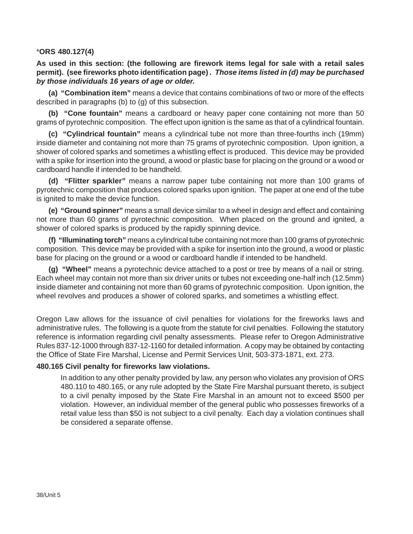#### \***ORS 480.127(4)**

**As used in this section: (the following are firework items legal for sale with a retail sales permit). (see fireworks photo identification page)** *. Those items listed in (d) may be purchased by those individuals 16 years of age or older.*

**(a) "Combination item"** means a device that contains combinations of two or more of the effects described in paragraphs (b) to (g) of this subsection.

**(b) "Cone fountain"** means a cardboard or heavy paper cone containing not more than 50 grams of pyrotechnic composition. The effect upon ignition is the same as that of a cylindrical fountain.

**(c) "Cylindrical fountain"** means a cylindrical tube not more than three-fourths inch (19mm) inside diameter and containing not more than 75 grams of pyrotechnic composition. Upon ignition, a shower of colored sparks and sometimes a whistling effect is produced. This device may be provided with a spike for insertion into the ground, a wood or plastic base for placing on the ground or a wood or cardboard handle if intended to be handheld.

**(d) "Flitter sparkler"** means a narrow paper tube containing not more than 100 grams of pyrotechnic composition that produces colored sparks upon ignition. The paper at one end of the tube is ignited to make the device function.

**(e) "Ground spinner"** means a small device similar to a wheel in design and effect and containing not more than 60 grams of pyrotechnic composition. When placed on the ground and ignited, a shower of colored sparks is produced by the rapidly spinning device.

**(f) "Illuminating torch"** means a cylindrical tube containing not more than 100 grams of pyrotechnic composition. This device may be provided with a spike for insertion into the ground, a wood or plastic base for placing on the ground or a wood or cardboard handle if intended to be handheld.

**(g) "Wheel"** means a pyrotechnic device attached to a post or tree by means of a nail or string. Each wheel may contain not more than six driver units or tubes not exceeding one-half inch (12.5mm) inside diameter and containing not more than 60 grams of pyrotechnic composition. Upon ignition, the wheel revolves and produces a shower of colored sparks, and sometimes a whistling effect.

Oregon Law allows for the issuance of civil penalties for violations for the fireworks laws and administrative rules. The following is a quote from the statute for civil penalties. Following the statutory reference is information regarding civil penalty assessments. Please refer to Oregon Administrative Rules 837-12-1000 through 837-12-1160 for detailed information. A copy may be obtained by contacting the Office of State Fire Marshal, License and Permit Services Unit, 503-373-1871, ext. 273.

#### **480.165 Civil penalty for fireworks law violations.**

In addition to any other penalty provided by law, any person who violates any provision of ORS 480.110 to 480.165, or any rule adopted by the State Fire Marshal pursuant thereto, is subject to a civil penalty imposed by the State Fire Marshal in an amount not to exceed \$500 per violation. However, an individual member of the general public who possesses fireworks of a retail value less than \$50 is not subject to a civil penalty. Each day a violation continues shall be considered a separate offense.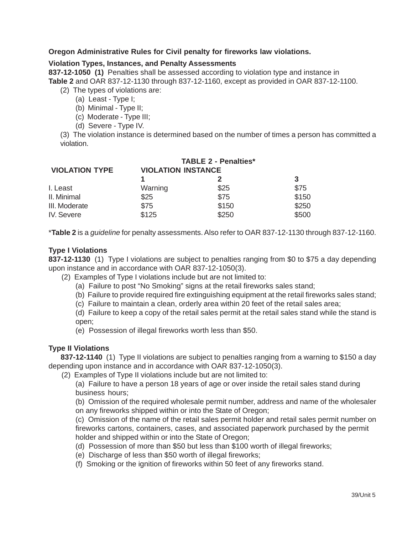#### **Oregon Administrative Rules for Civil penalty for fireworks law violations.**

#### **Violation Types, Instances, and Penalty Assessments**

**837-12-1050 (1)** Penalties shall be assessed according to violation type and instance in **Table 2** and OAR 837-12-1130 through 837-12-1160, except as provided in OAR 837-12-1100.

- (2) The types of violations are:
	- (a) Least Type I;
	- (b) Minimal Type II;
	- (c) Moderate Type III;
	- (d) Severe Type IV.

(3) The violation instance is determined based on the number of times a person has committed a violation.

| <b>VIOLATION TYPE</b> | <b>TABLE 2 - Penalties*</b><br><b>VIOLATION INSTANCE</b> |       |       |
|-----------------------|----------------------------------------------------------|-------|-------|
|                       |                                                          |       | 3     |
| I. Least              | Warning                                                  | \$25  | \$75  |
| II. Minimal           | \$25                                                     | \$75  | \$150 |
| III. Moderate         | \$75                                                     | \$150 | \$250 |
| IV. Severe            | \$125                                                    | \$250 | \$500 |

\***Table 2** is a *guideline* for penalty assessments. Also refer to OAR 837-12-1130 through 837-12-1160.

#### **Type I Violations**

**837-12-1130** (1) Type I violations are subject to penalties ranging from \$0 to \$75 a day depending upon instance and in accordance with OAR 837-12-1050(3).

- (2) Examples of Type I violations include but are not limited to:
	- (a) Failure to post "No Smoking" signs at the retail fireworks sales stand;
	- (b) Failure to provide required fire extinguishing equipment at the retail fireworks sales stand;
	- (c) Failure to maintain a clean, orderly area within 20 feet of the retail sales area;

(d) Failure to keep a copy of the retail sales permit at the retail sales stand while the stand is open;

(e) Possession of illegal fireworks worth less than \$50.

#### **Type II Violations**

**837-12-1140** (1) Type II violations are subject to penalties ranging from a warning to \$150 a day depending upon instance and in accordance with OAR 837-12-1050(3).

(2) Examples of Type II violations include but are not limited to:

(a) Failure to have a person 18 years of age or over inside the retail sales stand during business hours;

(b) Omission of the required wholesale permit number, address and name of the wholesaler on any fireworks shipped within or into the State of Oregon;

(c) Omission of the name of the retail sales permit holder and retail sales permit number on fireworks cartons, containers, cases, and associated paperwork purchased by the permit holder and shipped within or into the State of Oregon;

- (d) Possession of more than \$50 but less than \$100 worth of illegal fireworks;
- (e) Discharge of less than \$50 worth of illegal fireworks;
- (f) Smoking or the ignition of fireworks within 50 feet of any fireworks stand.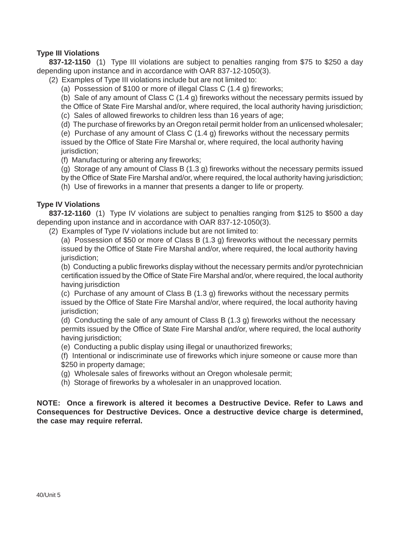#### **Type III Violations**

**837-12-1150** (1) Type III violations are subject to penalties ranging from \$75 to \$250 a day depending upon instance and in accordance with OAR 837-12-1050(3).

(2) Examples of Type III violations include but are not limited to:

(a) Possession of \$100 or more of illegal Class C (1.4 g) fireworks;

(b) Sale of any amount of Class C (1.4 g) fireworks without the necessary permits issued by

the Office of State Fire Marshal and/or, where required, the local authority having jurisdiction; (c) Sales of allowed fireworks to children less than 16 years of age;

(d) The purchase of fireworks by an Oregon retail permit holder from an unlicensed wholesaler;

(e) Purchase of any amount of Class C (1.4 g) fireworks without the necessary permits issued by the Office of State Fire Marshal or, where required, the local authority having jurisdiction:

(f) Manufacturing or altering any fireworks;

(g) Storage of any amount of Class B (1.3 g) fireworks without the necessary permits issued

by the Office of State Fire Marshal and/or, where required, the local authority having jurisdiction;

(h) Use of fireworks in a manner that presents a danger to life or property.

#### **Type IV Violations**

**837-12-1160** (1) Type IV violations are subject to penalties ranging from \$125 to \$500 a day depending upon instance and in accordance with OAR 837-12-1050(3).

(2) Examples of Type IV violations include but are not limited to:

(a) Possession of \$50 or more of Class B (1.3 g) fireworks without the necessary permits issued by the Office of State Fire Marshal and/or, where required, the local authority having jurisdiction:

(b) Conducting a public fireworks display without the necessary permits and/or pyrotechnician certification issued by the Office of State Fire Marshal and/or, where required, the local authority having jurisdiction

(c) Purchase of any amount of Class B (1.3 g) fireworks without the necessary permits issued by the Office of State Fire Marshal and/or, where required, the local authority having jurisdiction;

(d) Conducting the sale of any amount of Class B (1.3 g) fireworks without the necessary permits issued by the Office of State Fire Marshal and/or, where required, the local authority having jurisdiction;

(e) Conducting a public display using illegal or unauthorized fireworks;

(f) Intentional or indiscriminate use of fireworks which injure someone or cause more than \$250 in property damage;

(g) Wholesale sales of fireworks without an Oregon wholesale permit;

(h) Storage of fireworks by a wholesaler in an unapproved location.

**NOTE: Once a firework is altered it becomes a Destructive Device. Refer to Laws and Consequences for Destructive Devices. Once a destructive device charge is determined, the case may require referral.**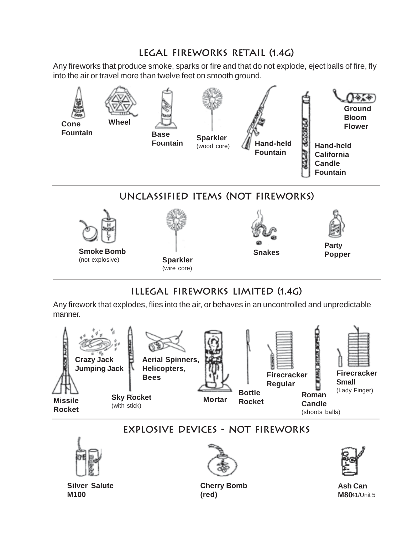## **legal fireworks retail (1.4g)**

Any fireworks that produce smoke, sparks or fire and that do not explode, eject balls of fire, fly into the air or travel more than twelve feet on smooth ground.



## **Illegal Fireworks Limited (1.4g)**

Any firework that explodes, flies into the air, or behaves in an uncontrolled and unpredictable manner.



# **Explosive Devices - Not Fireworks**



**Silver Salute M100**



**Cherry Bomb (red)**



41/Unit 5 **M80 Ash Can**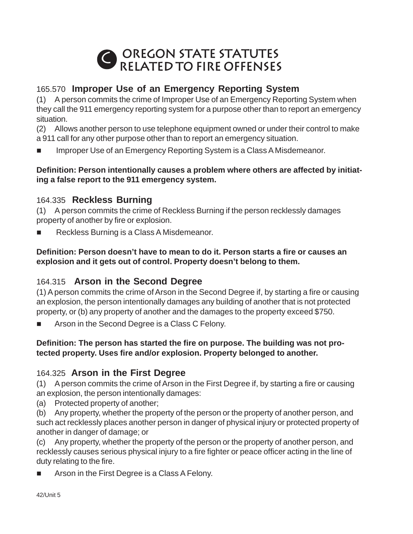

## 165.570 **Improper Use of an Emergency Reporting System**

(1) A person commits the crime of Improper Use of an Emergency Reporting System when they call the 911 emergency reporting system for a purpose other than to report an emergency situation.

(2) Allows another person to use telephone equipment owned or under their control to make a 911 call for any other purpose other than to report an emergency situation.

Improper Use of an Emergency Reporting System is a Class A Misdemeanor.

## **Definition: Person intentionally causes a problem where others are affected by initiating a false report to the 911 emergency system.**

## 164.335 **Reckless Burning**

(1) A person commits the crime of Reckless Burning if the person recklessly damages property of another by fire or explosion.

Reckless Burning is a Class A Misdemeanor.

## **Definition: Person doesn't have to mean to do it. Person starts a fire or causes an explosion and it gets out of control. Property doesn't belong to them.**

## 164.315 **Arson in the Second Degree**

(1) A person commits the crime of Arson in the Second Degree if, by starting a fire or causing an explosion, the person intentionally damages any building of another that is not protected property, or (b) any property of another and the damages to the property exceed \$750.

Arson in the Second Degree is a Class C Felony.

## **Definition: The person has started the fire on purpose. The building was not protected property. Uses fire and/or explosion. Property belonged to another.**

## 164.325 **Arson in the First Degree**

(1) A person commits the crime of Arson in the First Degree if, by starting a fire or causing an explosion, the person intentionally damages:

(a) Protected property of another;

(b) Any property, whether the property of the person or the property of another person, and such act recklessly places another person in danger of physical injury or protected property of another in danger of damage; or

(c) Any property, whether the property of the person or the property of another person, and recklessly causes serious physical injury to a fire fighter or peace officer acting in the line of duty relating to the fire.

Arson in the First Degree is a Class A Felony.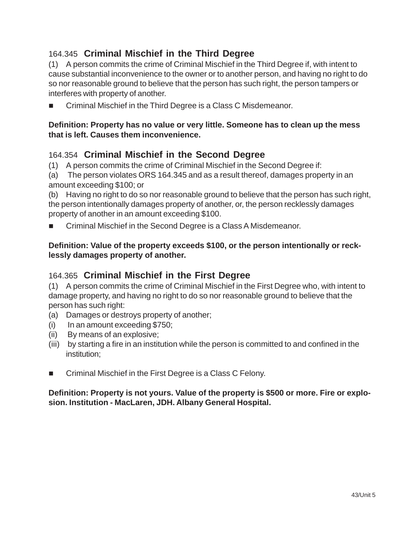## 164.345 **Criminal Mischief in the Third Degree**

(1) A person commits the crime of Criminal Mischief in the Third Degree if, with intent to cause substantial inconvenience to the owner or to another person, and having no right to do so nor reasonable ground to believe that the person has such right, the person tampers or interferes with property of another.

Criminal Mischief in the Third Degree is a Class C Misdemeanor.

## **Definition: Property has no value or very little. Someone has to clean up the mess that is left. Causes them inconvenience.**

## 164.354 **Criminal Mischief in the Second Degree**

(1) A person commits the crime of Criminal Mischief in the Second Degree if:

(a) The person violates ORS 164.345 and as a result thereof, damages property in an amount exceeding \$100; or

(b) Having no right to do so nor reasonable ground to believe that the person has such right, the person intentionally damages property of another, or, the person recklessly damages property of another in an amount exceeding \$100.

Criminal Mischief in the Second Degree is a Class A Misdemeanor.

## **Definition: Value of the property exceeds \$100, or the person intentionally or recklessly damages property of another.**

## 164.365 **Criminal Mischief in the First Degree**

(1) A person commits the crime of Criminal Mischief in the First Degree who, with intent to damage property, and having no right to do so nor reasonable ground to believe that the person has such right:

- (a) Damages or destroys property of another;
- (i) In an amount exceeding \$750;
- (ii) By means of an explosive;
- (iii) by starting a fire in an institution while the person is committed to and confined in the institution;
- Criminal Mischief in the First Degree is a Class C Felony.

## **Definition: Property is not yours. Value of the property is \$500 or more. Fire or explosion. Institution - MacLaren, JDH. Albany General Hospital.**